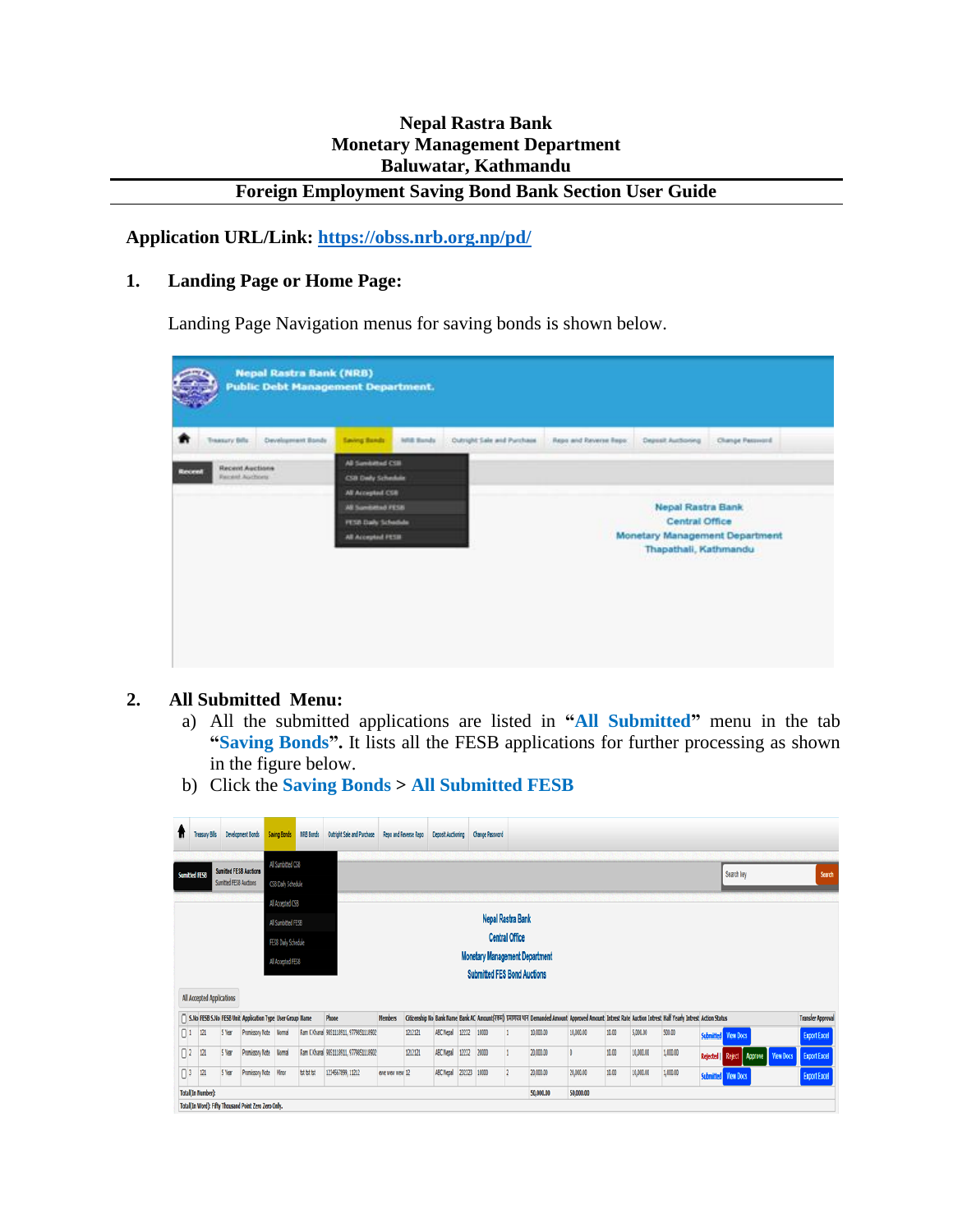### **Nepal Rastra Bank Monetary Management Department Baluwatar, Kathmandu**

## **Foreign Employment Saving Bond Bank Section User Guide**

**Application URL/Link:<https://obss.nrb.org.np/pd/>**

#### **1. Landing Page or Home Page:**

Landing Page Navigation menus for saving bonds is shown below.

| All Sambithed CSM<br>CSB Dwly Schedule<br>All Accepted CSB<br><b>Nepal Rastra Bank</b><br><b>AB Sumbling PESB</b><br><b>Central Office</b><br>FESD Daily Schedule<br>Monetary Management Department<br>All Accepted PESIE<br>Thapathali, Kathmandu | <b>Recent Auctions</b><br>Recent<br><b>Recent Auctions</b> |  |
|----------------------------------------------------------------------------------------------------------------------------------------------------------------------------------------------------------------------------------------------------|------------------------------------------------------------|--|
|                                                                                                                                                                                                                                                    |                                                            |  |
|                                                                                                                                                                                                                                                    |                                                            |  |
|                                                                                                                                                                                                                                                    |                                                            |  |
|                                                                                                                                                                                                                                                    |                                                            |  |
|                                                                                                                                                                                                                                                    |                                                            |  |
|                                                                                                                                                                                                                                                    |                                                            |  |
|                                                                                                                                                                                                                                                    |                                                            |  |
|                                                                                                                                                                                                                                                    |                                                            |  |
|                                                                                                                                                                                                                                                    |                                                            |  |

#### **2. All Submitted Menu:**

- a) All the submitted applications are listed in **"All Submitted"** menu in the tab **"Saving Bonds".** It lists all the FESB applications for further processing as shown in the figure below.
- b) Click the **Saving Bonds > All Submitted FESB**

| Ħ                                                                                                | Treasury Bills                                                   |                               | <b>Development Bonds</b>                                  | Saving Bonds      | NRB Bonds   | <b>Outright Sale and Purchase</b>      | Repo and Reverse Repo |         | <b>Deposit Auctioning</b> |        | <b>Change Password</b> |  |                                                                                                                                                            |           |       |           |          |                   |                            |  |                          |
|--------------------------------------------------------------------------------------------------|------------------------------------------------------------------|-------------------------------|-----------------------------------------------------------|-------------------|-------------|----------------------------------------|-----------------------|---------|---------------------------|--------|------------------------|--|------------------------------------------------------------------------------------------------------------------------------------------------------------|-----------|-------|-----------|----------|-------------------|----------------------------|--|--------------------------|
| Sumitted FESB                                                                                    |                                                                  | <b>Sumitted FESB Auctions</b> |                                                           | All Sumbitted CSB |             |                                        |                       |         |                           |        |                        |  |                                                                                                                                                            |           |       |           |          |                   | Search key                 |  | Search                   |
|                                                                                                  | Sumitted FESB Auctions<br>CSB Daily Schedule<br>All Accepted CSB |                               |                                                           |                   |             |                                        |                       |         |                           |        |                        |  |                                                                                                                                                            |           |       |           |          |                   |                            |  |                          |
| Nepal Rastra Bank<br>All Sumbitted FESB                                                          |                                                                  |                               |                                                           |                   |             |                                        |                       |         |                           |        |                        |  |                                                                                                                                                            |           |       |           |          |                   |                            |  |                          |
|                                                                                                  | <b>Central Office</b><br>FESB Daily Schedule                     |                               |                                                           |                   |             |                                        |                       |         |                           |        |                        |  |                                                                                                                                                            |           |       |           |          |                   |                            |  |                          |
| <b>Monetary Management Department</b><br>All Accepted FESB<br><b>Submitted FES Bond Auctions</b> |                                                                  |                               |                                                           |                   |             |                                        |                       |         |                           |        |                        |  |                                                                                                                                                            |           |       |           |          |                   |                            |  |                          |
|                                                                                                  | All Accepted Applications                                        |                               |                                                           |                   |             |                                        |                       |         |                           |        |                        |  |                                                                                                                                                            |           |       |           |          |                   |                            |  |                          |
|                                                                                                  |                                                                  |                               | S.No FESB S.No FESB Unit Application Type User Group Name |                   |             | Phone                                  | <b>Members</b>        |         |                           |        |                        |  | Citizenship No Bank Name Bank AC Amount(रकम) प्रमाणपत्र थान Demanded Amount Approved Amount Intrest Rate Auction Intrest Half Yearly Intrest Action Status |           |       |           |          |                   |                            |  | <b>Transfer Approval</b> |
| $\Box$                                                                                           | 121                                                              | 5 Year                        | Promissory Note Normal                                    |                   |             | Ram K Khanal 9851118911, 9779851118902 |                       | 1212121 | ABC Nepal                 | 12232  | 10000                  |  | 10,000.00                                                                                                                                                  | 10,000.00 | 10.00 | 5,000.00  | 500.00   |                   | <b>Submitted</b> View Docs |  | <b>Export Excel</b>      |
| $\Box$                                                                                           | 121                                                              | 5 Year                        | Promissory Note Normal                                    |                   |             | Ram K Khanal 9851118911, 9779851118902 |                       | 1212121 | <b>ABC Nepal</b>          | 12232  | 20000                  |  | 20,000.00                                                                                                                                                  |           | 10.00 | 10,000.00 | 1,000.00 | Rejected   Reject | Approve View Docs          |  | <b>Export Excel</b>      |
| $\Box$                                                                                           | 121                                                              | 5 Year                        | Promissory Note Minor                                     |                   | tst tst tst | 1234567899, 11212                      | ewe wear wear 12      |         | <b>ABC Nepal</b>          | 232323 | 10000                  |  | 20,000.00                                                                                                                                                  | 20,000.00 | 10.00 | 10,000.00 | 1,000.00 |                   | <b>Submitted</b> View Docs |  | <b>Export Excel</b>      |
|                                                                                                  | <b>Total(In Number):</b>                                         |                               | Total(In Word): Fifty Thousand Point Zero Zero Only.      |                   |             |                                        |                       |         |                           |        |                        |  | 50,000.00                                                                                                                                                  | 50,000.00 |       |           |          |                   |                            |  |                          |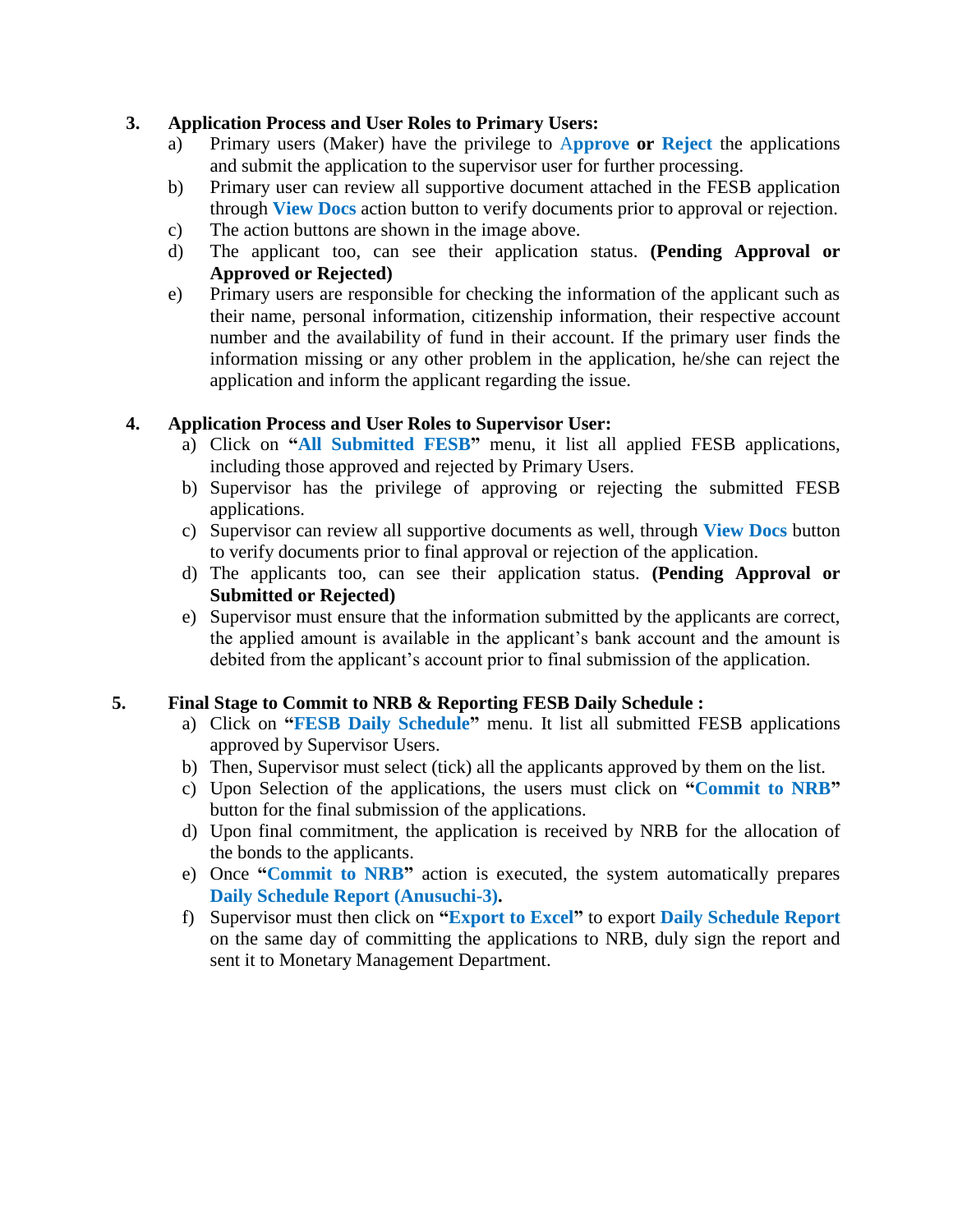#### **3. Application Process and User Roles to Primary Users:**

- a) Primary users (Maker) have the privilege to A**pprove or Reject** the applications and submit the application to the supervisor user for further processing.
- b) Primary user can review all supportive document attached in the FESB application through **View Docs** action button to verify documents prior to approval or rejection.
- c) The action buttons are shown in the image above.
- d) The applicant too, can see their application status. **(Pending Approval or Approved or Rejected)**
- e) Primary users are responsible for checking the information of the applicant such as their name, personal information, citizenship information, their respective account number and the availability of fund in their account. If the primary user finds the information missing or any other problem in the application, he/she can reject the application and inform the applicant regarding the issue.

#### **4. Application Process and User Roles to Supervisor User:**

- a) Click on **"All Submitted FESB"** menu, it list all applied FESB applications, including those approved and rejected by Primary Users.
- b) Supervisor has the privilege of approving or rejecting the submitted FESB applications.
- c) Supervisor can review all supportive documents as well, through **View Docs** button to verify documents prior to final approval or rejection of the application.
- d) The applicants too, can see their application status. **(Pending Approval or Submitted or Rejected)**
- e) Supervisor must ensure that the information submitted by the applicants are correct, the applied amount is available in the applicant's bank account and the amount is debited from the applicant's account prior to final submission of the application.

### **5. Final Stage to Commit to NRB & Reporting FESB Daily Schedule :**

- a) Click on **"FESB Daily Schedule"** menu. It list all submitted FESB applications approved by Supervisor Users.
- b) Then, Supervisor must select (tick) all the applicants approved by them on the list.
- c) Upon Selection of the applications, the users must click on **"Commit to NRB"** button for the final submission of the applications.
- d) Upon final commitment, the application is received by NRB for the allocation of the bonds to the applicants.
- e) Once **"Commit to NRB"** action is executed, the system automatically prepares **Daily Schedule Report (Anusuchi-3).**
- f) Supervisor must then click on **"Export to Excel"** to export **Daily Schedule Report** on the same day of committing the applications to NRB, duly sign the report and sent it to Monetary Management Department.